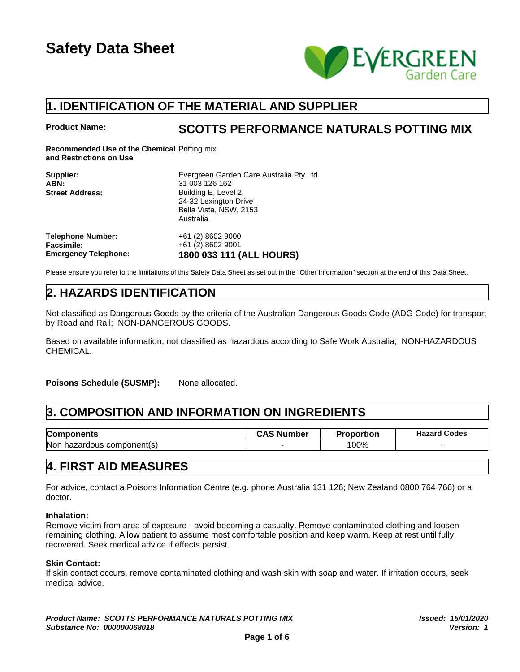

## **1. IDENTIFICATION OF THE MATERIAL AND SUPPLIER**

**Product Name: SCOTTS PERFORMANCE NATURALS POTTING MIX**

**Recommended Use of the Chemical** Potting mix. **and Restrictions on Use**

| Supplier:                   | Evergreen Garden Care Australia Pty Ltd |
|-----------------------------|-----------------------------------------|
| ABN:                        | 31 003 126 162                          |
| <b>Street Address:</b>      | Building E, Level 2,                    |
|                             | 24-32 Lexington Drive                   |
|                             | Bella Vista, NSW, 2153                  |
|                             | Australia                               |
| <b>Telephone Number:</b>    | +61 (2) 8602 9000                       |
| <b>Facsimile:</b>           | +61 (2) 8602 9001                       |
| <b>Emergency Telephone:</b> | 1800 033 111 (ALL HOURS)                |

Please ensure you refer to the limitations of this Safety Data Sheet as set out in the "Other Information" section at the end of this Data Sheet.

# **2. HAZARDS IDENTIFICATION**

Not classified as Dangerous Goods by the criteria of the Australian Dangerous Goods Code (ADG Code) for transport by Road and Rail; NON-DANGEROUS GOODS.

Based on available information, not classified as hazardous according to Safe Work Australia; NON-HAZARDOUS CHEMICAL.

Poisons Schedule (SUSMP): None allocated.

# **3. COMPOSITION AND INFORMATION ON INGREDIENTS**

| Components                              | umber<br>N.<br>┄ | roportion | Codes<br>Hazard |
|-----------------------------------------|------------------|-----------|-----------------|
| <b>Non</b><br>component(s)<br>hazardous |                  | 00%       |                 |

### **4. FIRST AID MEASURES**

For advice, contact a Poisons Information Centre (e.g. phone Australia 131 126; New Zealand 0800 764 766) or a doctor.

#### **Inhalation:**

Remove victim from area of exposure - avoid becoming a casualty. Remove contaminated clothing and loosen remaining clothing. Allow patient to assume most comfortable position and keep warm. Keep at rest until fully recovered. Seek medical advice if effects persist.

#### **Skin Contact:**

If skin contact occurs, remove contaminated clothing and wash skin with soap and water. If irritation occurs, seek medical advice.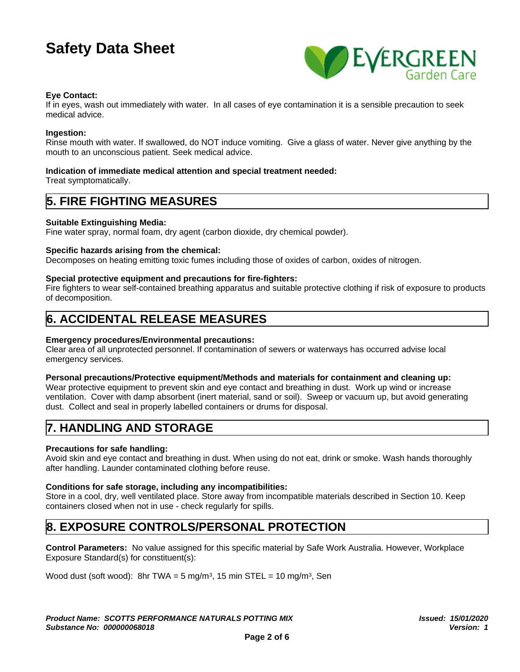

#### **Eye Contact:**

If in eyes, wash out immediately with water. In all cases of eye contamination it is a sensible precaution to seek medical advice.

#### **Ingestion:**

Rinse mouth with water. If swallowed, do NOT induce vomiting. Give a glass of water. Never give anything by the mouth to an unconscious patient. Seek medical advice.

#### **Indication of immediate medical attention and special treatment needed:**

Treat symptomatically.

## **5. FIRE FIGHTING MEASURES**

#### **Suitable Extinguishing Media:**

Fine water spray, normal foam, dry agent (carbon dioxide, dry chemical powder).

#### **Specific hazards arising from the chemical:**

Decomposes on heating emitting toxic fumes including those of oxides of carbon, oxides of nitrogen.

#### **Special protective equipment and precautions for fire-fighters:**

Fire fighters to wear self-contained breathing apparatus and suitable protective clothing if risk of exposure to products of decomposition.

## **6. ACCIDENTAL RELEASE MEASURES**

#### **Emergency procedures/Environmental precautions:**

Clear area of all unprotected personnel. If contamination of sewers or waterways has occurred advise local emergency services.

#### **Personal precautions/Protective equipment/Methods and materials for containment and cleaning up:**

Wear protective equipment to prevent skin and eye contact and breathing in dust. Work up wind or increase ventilation. Cover with damp absorbent (inert material, sand or soil). Sweep or vacuum up, but avoid generating dust. Collect and seal in properly labelled containers or drums for disposal.

### **7. HANDLING AND STORAGE**

#### **Precautions for safe handling:**

Avoid skin and eye contact and breathing in dust. When using do not eat, drink or smoke. Wash hands thoroughly after handling. Launder contaminated clothing before reuse.

#### **Conditions for safe storage, including any incompatibilities:**

Store in a cool, dry, well ventilated place. Store away from incompatible materials described in Section 10. Keep containers closed when not in use - check regularly for spills.

### **8. EXPOSURE CONTROLS/PERSONAL PROTECTION**

**Control Parameters:** No value assigned for this specific material by Safe Work Australia. However, Workplace Exposure Standard(s) for constituent(s):

Wood dust (soft wood): 8hr TWA = 5 mg/m<sup>3</sup> , 15 min STEL = 10 mg/m<sup>3</sup> , Sen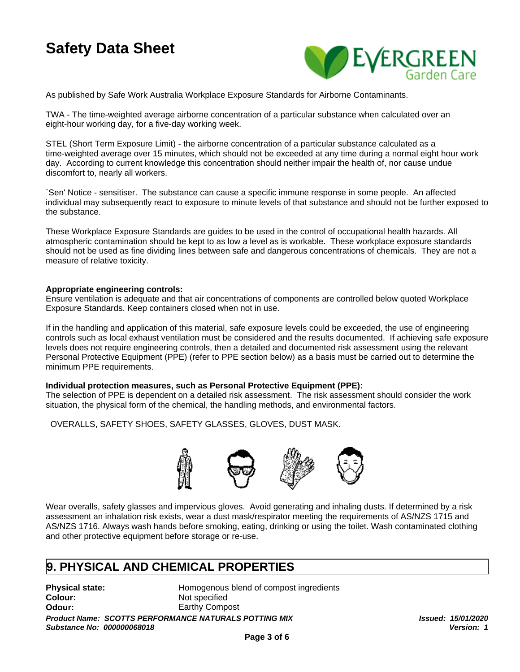

As published by Safe Work Australia Workplace Exposure Standards for Airborne Contaminants.

TWA - The time-weighted average airborne concentration of a particular substance when calculated over an eight-hour working day, for a five-day working week.

STEL (Short Term Exposure Limit) - the airborne concentration of a particular substance calculated as a time-weighted average over 15 minutes, which should not be exceeded at any time during a normal eight hour work day. According to current knowledge this concentration should neither impair the health of, nor cause undue discomfort to, nearly all workers.

`Sen' Notice - sensitiser. The substance can cause a specific immune response in some people. An affected individual may subsequently react to exposure to minute levels of that substance and should not be further exposed to the substance.

These Workplace Exposure Standards are guides to be used in the control of occupational health hazards. All atmospheric contamination should be kept to as low a level as is workable. These workplace exposure standards should not be used as fine dividing lines between safe and dangerous concentrations of chemicals. They are not a measure of relative toxicity.

#### **Appropriate engineering controls:**

Ensure ventilation is adequate and that air concentrations of components are controlled below quoted Workplace Exposure Standards. Keep containers closed when not in use.

If in the handling and application of this material, safe exposure levels could be exceeded, the use of engineering controls such as local exhaust ventilation must be considered and the results documented. If achieving safe exposure levels does not require engineering controls, then a detailed and documented risk assessment using the relevant Personal Protective Equipment (PPE) (refer to PPE section below) as a basis must be carried out to determine the minimum PPE requirements.

#### **Individual protection measures, such as Personal Protective Equipment (PPE):**

The selection of PPE is dependent on a detailed risk assessment. The risk assessment should consider the work situation, the physical form of the chemical, the handling methods, and environmental factors.

OVERALLS, SAFETY SHOES, SAFETY GLASSES, GLOVES, DUST MASK.



Wear overalls, safety glasses and impervious gloves. Avoid generating and inhaling dusts. If determined by a risk assessment an inhalation risk exists, wear a dust mask/respirator meeting the requirements of AS/NZS 1715 and AS/NZS 1716. Always wash hands before smoking, eating, drinking or using the toilet. Wash contaminated clothing and other protective equipment before storage or re-use.

## **9. PHYSICAL AND CHEMICAL PROPERTIES**

**Colour:** Not specified

**Physical state:** Homogenous blend of compost ingredients **Odour:** Earthy Compost

*Product Name: SCOTTS PERFORMANCE NATURALS POTTING MIX Issued: 15/01/2020 Substance No: 000000068018*

*Version: 1*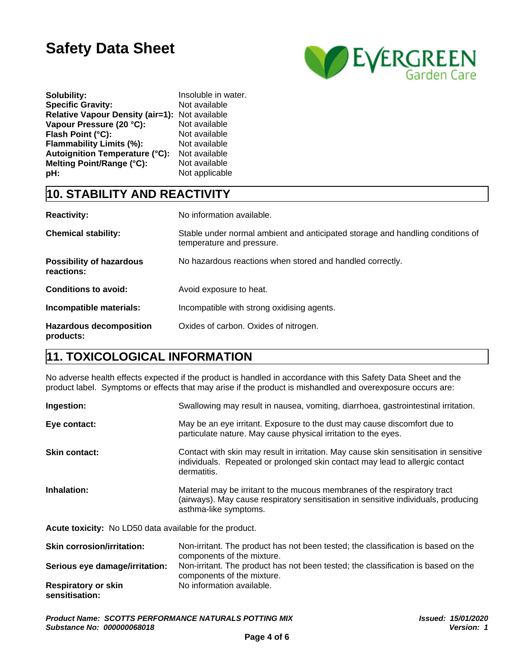

| Solubility:                                    | Insoluble in water. |
|------------------------------------------------|---------------------|
| <b>Specific Gravity:</b>                       | Not available       |
| Relative Vapour Density (air=1): Not available |                     |
| Vapour Pressure (20 °C):                       | Not available       |
| Flash Point (°C):                              | Not available       |
| <b>Flammability Limits (%):</b>                | Not available       |
| Autoignition Temperature (°C):                 | Not available       |
| Melting Point/Range (°C):                      | Not available       |
| pH:                                            | Not applicable      |

# **10. STABILITY AND REACTIVITY**

| <b>Reactivity:</b>                            | No information available.                                                                                   |
|-----------------------------------------------|-------------------------------------------------------------------------------------------------------------|
| <b>Chemical stability:</b>                    | Stable under normal ambient and anticipated storage and handling conditions of<br>temperature and pressure. |
| <b>Possibility of hazardous</b><br>reactions: | No hazardous reactions when stored and handled correctly.                                                   |
| <b>Conditions to avoid:</b>                   | Avoid exposure to heat.                                                                                     |
| Incompatible materials:                       | Incompatible with strong oxidising agents.                                                                  |
| <b>Hazardous decomposition</b><br>products:   | Oxides of carbon. Oxides of nitrogen.                                                                       |

# **11. TOXICOLOGICAL INFORMATION**

No adverse health effects expected if the product is handled in accordance with this Safety Data Sheet and the product label. Symptoms or effects that may arise if the product is mishandled and overexposure occurs are:

| Ingestion:           | Swallowing may result in nausea, vomiting, diarrhoea, gastrointestinal irritation.                                                                                                       |
|----------------------|------------------------------------------------------------------------------------------------------------------------------------------------------------------------------------------|
| Eye contact:         | May be an eye irritant. Exposure to the dust may cause discomfort due to<br>particulate nature. May cause physical irritation to the eyes.                                               |
| <b>Skin contact:</b> | Contact with skin may result in irritation. May cause skin sensitisation in sensitive<br>individuals. Repeated or prolonged skin contact may lead to allergic contact<br>dermatitis.     |
| Inhalation:          | Material may be irritant to the mucous membranes of the respiratory tract<br>(airways). May cause respiratory sensitisation in sensitive individuals, producing<br>asthma-like symptoms. |
|                      | Acute toxicity: No I D50 data available for the product                                                                                                                                  |

**Acute toxicity:** No LD50 data available for the product.

| <b>Skin corrosion/irritation:</b>            | Non-irritant. The product has not been tested; the classification is based on the<br>components of the mixture. |
|----------------------------------------------|-----------------------------------------------------------------------------------------------------------------|
| Serious eye damage/irritation:               | Non-irritant. The product has not been tested; the classification is based on the<br>components of the mixture. |
| <b>Respiratory or skin</b><br>sensitisation: | No information available.                                                                                       |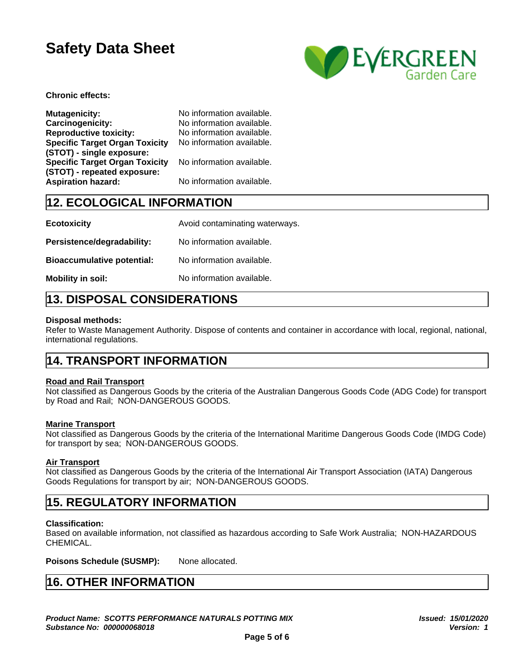

**Chronic effects:**

| <b>Mutagenicity:</b><br><b>Carcinogenicity:</b><br><b>Reproductive toxicity:</b><br><b>Specific Target Organ Toxicity</b><br>(STOT) - single exposure: | No information available.<br>No information available.<br>No information available.<br>No information available. |
|--------------------------------------------------------------------------------------------------------------------------------------------------------|------------------------------------------------------------------------------------------------------------------|
| <b>Specific Target Organ Toxicity</b>                                                                                                                  | No information available.                                                                                        |
| (STOT) - repeated exposure:<br><b>Aspiration hazard:</b>                                                                                               | No information available.                                                                                        |

# **12. ECOLOGICAL INFORMATION**

| <b>Ecotoxicity</b>                | Avoid contaminating waterways. |
|-----------------------------------|--------------------------------|
| Persistence/degradability:        | No information available.      |
| <b>Bioaccumulative potential:</b> | No information available.      |
| Mobility in soil:                 | No information available.      |

# **13. DISPOSAL CONSIDERATIONS**

#### **Disposal methods:**

Refer to Waste Management Authority. Dispose of contents and container in accordance with local, regional, national, international regulations.

## **14. TRANSPORT INFORMATION**

#### **Road and Rail Transport**

Not classified as Dangerous Goods by the criteria of the Australian Dangerous Goods Code (ADG Code) for transport by Road and Rail; NON-DANGEROUS GOODS.

#### **Marine Transport**

Not classified as Dangerous Goods by the criteria of the International Maritime Dangerous Goods Code (IMDG Code) for transport by sea; NON-DANGEROUS GOODS.

#### **Air Transport**

Not classified as Dangerous Goods by the criteria of the International Air Transport Association (IATA) Dangerous Goods Regulations for transport by air; NON-DANGEROUS GOODS.

## **15. REGULATORY INFORMATION**

#### **Classification:**

Based on available information, not classified as hazardous according to Safe Work Australia; NON-HAZARDOUS CHEMICAL.

**Poisons Schedule (SUSMP):** None allocated.

# **16. OTHER INFORMATION**